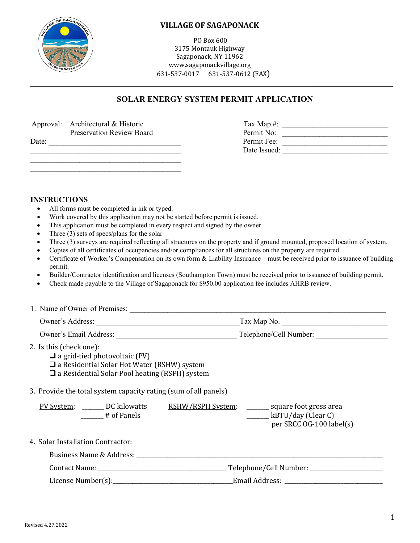

#### **VILLAGE OF SAGAPONACK**

PO Box 600 3175 Montauk Highway Sagaponack, NY 11962 www.sagaponackvillage.org 631-537-0017 631-537-0612 (FAX)

#### **SOLAR ENERGY SYSTEM PERMIT APPLICATION**

|       | Approval: Architectural & Historic | Tax Map $\#$ : |  |
|-------|------------------------------------|----------------|--|
|       | <b>Preservation Review Board</b>   | Permit No:     |  |
| Date: |                                    | Permit Fee:    |  |
|       |                                    | Date Issued:   |  |
|       |                                    |                |  |
|       |                                    |                |  |

| Гах Мар#:    |  |
|--------------|--|
| Permit No:   |  |
| Permit Fee:  |  |
| Date Issued: |  |
|              |  |

#### **INSTRUCTIONS**

All forms must be completed in ink or typed.

 $\frac{1}{2}$  ,  $\frac{1}{2}$  ,  $\frac{1}{2}$  ,  $\frac{1}{2}$  ,  $\frac{1}{2}$  ,  $\frac{1}{2}$  ,  $\frac{1}{2}$  ,  $\frac{1}{2}$  ,  $\frac{1}{2}$  ,  $\frac{1}{2}$  ,  $\frac{1}{2}$  ,  $\frac{1}{2}$  ,  $\frac{1}{2}$  ,  $\frac{1}{2}$  ,  $\frac{1}{2}$  ,  $\frac{1}{2}$  ,  $\frac{1}{2}$  ,  $\frac{1}{2}$  ,  $\frac{1$ 

- Work covered by this application may not be started before permit is issued.
- This application must be completed in every respect and signed by the owner.
- Three (3) sets of specs/plans for the solar
- Three (3) surveys are required reflecting all structures on the property and if ground mounted, proposed location of system.
- Copies of all certificates of occupancies and/or compliances for all structures on the property are required.
- Certificate of Worker's Compensation on its own form & Liability Insurance must be received prior to issuance of building permit.
- Builder/Contractor identification and licenses (Southampton Town) must be received prior to issuance of building permit.
- Check made payable to the Village of Sagaponack for \$950.00 application fee includes AHRB review.

| 2. Is this (check one):<br>$\Box$ a grid-tied photovoltaic (PV)<br>$\Box$ a Residential Solar Hot Water (RSHW) system<br>$\Box$ a Residential Solar Pool heating (RSPH) system                                                |                                                              |
|-------------------------------------------------------------------------------------------------------------------------------------------------------------------------------------------------------------------------------|--------------------------------------------------------------|
| 3. Provide the total system capacity rating (sum of all panels)                                                                                                                                                               |                                                              |
| PV System: DC kilowatts RSHW/RSPH System: _______ square foot gross area<br># of Panels                                                                                                                                       | $\frac{1}{2}$ kBTU/day (Clear C)<br>per SRCC OG-100 label(s) |
| 4. Solar Installation Contractor:                                                                                                                                                                                             |                                                              |
| Business Name & Address: Name & Address: Name & Address: Name & Address: Name & Address: Name & Address: Name & Address: Name & Address: Name & Address: Name & Address: Name & Address: Name & Address: Name & Address: Name |                                                              |
|                                                                                                                                                                                                                               |                                                              |
|                                                                                                                                                                                                                               |                                                              |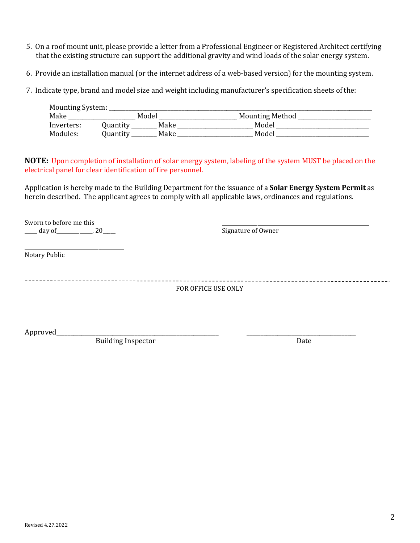- 5. On a roof mount unit, please provide a letter from a Professional Engineer or Registered Architect certifying that the existing structure can support the additional gravity and wind loads of the solar energy system.
- 6. Provide an installation manual (or the internet address of a web-based version) for the mounting system.

7. Indicate type, brand and model size and weight including manufacturer's specification sheets of the:

| Mounting System: |          |       |                        |  |
|------------------|----------|-------|------------------------|--|
| Make             |          | Model | <b>Mounting Method</b> |  |
| Inverters:       | Juantitv | Make  | Model                  |  |
| Modules:         | Ouantitv | Make  | Model                  |  |

**NOTE:** Upon completion of installation of solar energy system, labeling of the system MUST be placed on the electrical panel for clear identification of fire personnel.

Application is hereby made to the Building Department for the issuance of a **Solar Energy System Permit** as herein described. The applicant agrees to comply with all applicable laws, ordinances and regulations.

Sworn to before me this \_\_\_\_\_\_\_\_\_\_\_\_\_\_\_\_\_\_\_\_\_\_\_\_\_\_\_\_\_\_\_\_\_\_\_\_\_\_\_\_\_\_\_\_\_\_\_\_\_\_\_\_\_\_\_\_\_\_  $\frac{1}{2}$  day of  $\frac{1}{2}$ , 20

\_\_\_\_\_\_\_\_\_\_\_\_\_\_\_\_\_\_\_\_\_\_\_\_\_\_\_\_\_\_\_\_\_\_\_\_\_\_\_ Notary Public

FOR OFFICE USE ONLY

Approved\_\_\_\_\_\_\_\_\_\_\_\_\_\_\_\_\_\_\_\_\_\_\_\_\_\_\_\_\_\_\_\_\_\_\_\_\_\_\_\_\_\_\_\_\_\_\_\_\_\_\_\_\_\_\_\_\_\_ \_\_\_\_\_\_\_\_\_\_\_\_\_\_\_\_\_\_\_\_\_\_\_\_\_\_\_\_\_\_\_\_\_\_\_\_\_\_\_

Building Inspector Date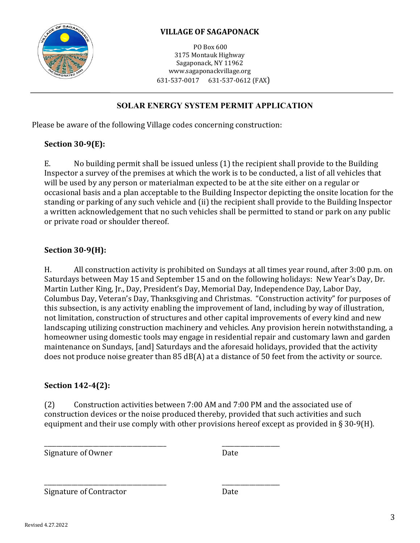

# **VILLAGE OF SAGAPONACK**

PO Box 600 3175 Montauk Highway Sagaponack, NY 11962 www.sagaponackvillage.org 631-537-0017 631-537-0612 (FAX)

# **SOLAR ENERGY SYSTEM PERMIT APPLICATION**

Please be aware of the following Village codes concerning construction:

## **Section 30-9(E):**

E. No building permit shall be issued unless (1) the recipient shall provide to the Building Inspector a survey of the premises at which the work is to be conducted, a list of all vehicles that will be used by any person or materialman expected to be at the site either on a regular or occasional basis and a plan acceptable to the Building Inspector depicting the onsite location for the standing or parking of any such vehicle and (ii) the recipient shall provide to the Building Inspector a written acknowledgement that no such vehicles shall be permitted to stand or park on any public or private road or shoulder thereof.

## **Section 30-9(H):**

H. All construction activity is prohibited on Sundays at all times year round, after 3:00 p.m. on Saturdays between May 15 and September 15 and on the following holidays: New Year's Day, Dr. Martin Luther King, Jr., Day, President's Day, Memorial Day, Independence Day, Labor Day, Columbus Day, Veteran's Day, Thanksgiving and Christmas. "Construction activity" for purposes of this subsection, is any activity enabling the improvement of land, including by way of illustration, not limitation, construction of structures and other capital improvements of every kind and new landscaping utilizing construction machinery and vehicles. Any provision herein notwithstanding, a homeowner using domestic tools may engage in residential repair and customary lawn and garden maintenance on Sundays, [and] Saturdays and the aforesaid holidays, provided that the activity does not produce noise greater than 85 dB(A) at a distance of 50 feet from the activity or source.

### **Section 142-4(2):**

(2) Construction activities between 7:00 AM and 7:00 PM and the associated use of construction devices or the noise produced thereby, provided that such activities and such equipment and their use comply with other provisions hereof except as provided in § 30-9(H).

\_\_\_\_\_\_\_\_\_\_\_\_\_\_\_\_\_\_\_\_\_\_\_\_\_\_\_\_\_\_\_\_\_\_\_\_\_\_\_\_ \_\_\_\_\_\_\_\_\_\_\_\_\_\_\_\_\_\_\_ Signature of Owner Date

\_\_\_\_\_\_\_\_\_\_\_\_\_\_\_\_\_\_\_\_\_\_\_\_\_\_\_\_\_\_\_\_\_\_\_\_\_\_\_\_ \_\_\_\_\_\_\_\_\_\_\_\_\_\_\_\_\_\_\_ Signature of Contractor **Date**